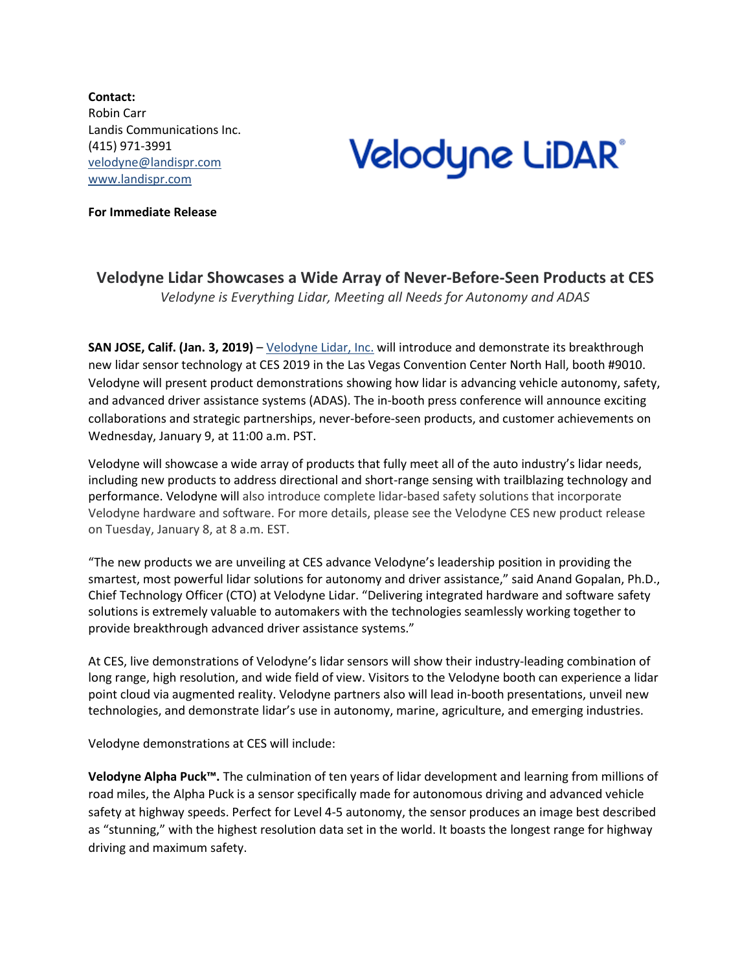**Contact:** Robin Carr Landis Communications Inc. (415) 971-3991 [velodyne@landispr.com](mailto:velodyne@landispr.com) [www.landispr.com](http://www.landispr.com/)

## Velodyne LiDAR"

**For Immediate Release**

## **Velodyne Lidar Showcases a Wide Array of Never-Before-Seen Products at CES**

*Velodyne is Everything Lidar, Meeting all Needs for Autonomy and ADAS*

**SAN JOSE, Calif. (Jan. 3, 2019)** – [Velodyne Lidar, Inc.](https://velodynelidar.com/) will introduce and demonstrate its breakthrough new lidar sensor technology at CES 2019 in the Las Vegas Convention Center North Hall, booth #9010. Velodyne will present product demonstrations showing how lidar is advancing vehicle autonomy, safety, and advanced driver assistance systems (ADAS). The in-booth press conference will announce exciting collaborations and strategic partnerships, never-before-seen products, and customer achievements on Wednesday, January 9, at 11:00 a.m. PST.

Velodyne will showcase a wide array of products that fully meet all of the auto industry's lidar needs, including new products to address directional and short-range sensing with trailblazing technology and performance. Velodyne will also introduce complete lidar-based safety solutions that incorporate Velodyne hardware and software. For more details, please see the Velodyne CES new product release on Tuesday, January 8, at 8 a.m. EST.

"The new products we are unveiling at CES advance Velodyne's leadership position in providing the smartest, most powerful lidar solutions for autonomy and driver assistance," said Anand Gopalan, Ph.D., Chief Technology Officer (CTO) at Velodyne Lidar. "Delivering integrated hardware and software safety solutions is extremely valuable to automakers with the technologies seamlessly working together to provide breakthrough advanced driver assistance systems."

At CES, live demonstrations of Velodyne's lidar sensors will show their industry-leading combination of long range, high resolution, and wide field of view. Visitors to the Velodyne booth can experience a lidar point cloud via augmented reality. Velodyne partners also will lead in-booth presentations, unveil new technologies, and demonstrate lidar's use in autonomy, marine, agriculture, and emerging industries.

Velodyne demonstrations at CES will include:

**Velodyne Alpha Puck™.** The culmination of ten years of lidar development and learning from millions of road miles, the Alpha Puck is a sensor specifically made for autonomous driving and advanced vehicle safety at highway speeds. Perfect for Level 4-5 autonomy, the sensor produces an image best described as "stunning," with the highest resolution data set in the world. It boasts the longest range for highway driving and maximum safety.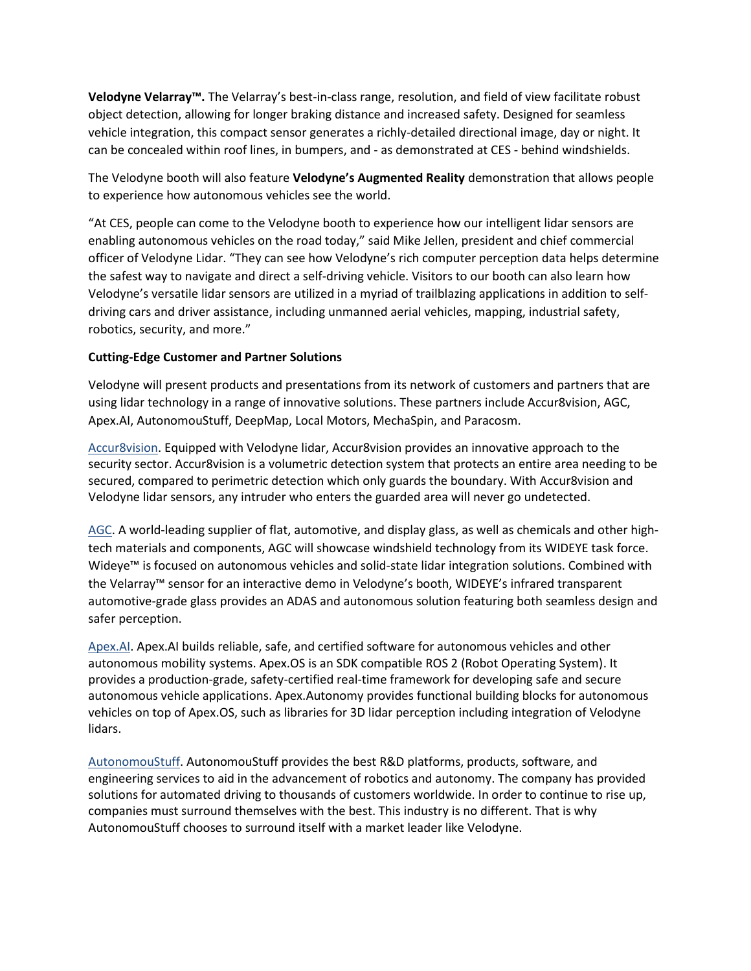**Velodyne Velarray™.** The Velarray's best-in-class range, resolution, and field of view facilitate robust object detection, allowing for longer braking distance and increased safety. Designed for seamless vehicle integration, this compact sensor generates a richly-detailed directional image, day or night. It can be concealed within roof lines, in bumpers, and - as demonstrated at CES - behind windshields.

The Velodyne booth will also feature **Velodyne's Augmented Reality** demonstration that allows people to experience how autonomous vehicles see the world.

"At CES, people can come to the Velodyne booth to experience how our intelligent lidar sensors are enabling autonomous vehicles on the road today," said Mike Jellen, president and chief commercial officer of Velodyne Lidar. "They can see how Velodyne's rich computer perception data helps determine the safest way to navigate and direct a self-driving vehicle. Visitors to our booth can also learn how Velodyne's versatile lidar sensors are utilized in a myriad of trailblazing applications in addition to selfdriving cars and driver assistance, including unmanned aerial vehicles, mapping, industrial safety, robotics, security, and more."

## **Cutting-Edge Customer and Partner Solutions**

Velodyne will present products and presentations from its network of customers and partners that are using lidar technology in a range of innovative solutions. These partners include Accur8vision, AGC, Apex.AI, AutonomouStuff, DeepMap, Local Motors, MechaSpin, and Paracosm.

[Accur8vision.](https://accur8vision.com/) Equipped with Velodyne lidar, Accur8vision provides an innovative approach to the security sector. Accur8vision is a volumetric detection system that protects an entire area needing to be secured, compared to perimetric detection which only guards the boundary. With Accur8vision and Velodyne lidar sensors, any intruder who enters the guarded area will never go undetected.

[AGC.](http://www.agc.com/en/) A world-leading supplier of flat, automotive, and display glass, as well as chemicals and other hightech materials and components, AGC will showcase windshield technology from its WIDEYE task force. Wideye™ is focused on autonomous vehicles and solid-state lidar integration solutions. Combined with the Velarray™ sensor for an interactive demo in Velodyne's booth, WIDEYE's infrared transparent automotive-grade glass provides an ADAS and autonomous solution featuring both seamless design and safer perception.

[Apex.AI.](http://www.apex.ai/) Apex.AI builds reliable, safe, and certified software for autonomous vehicles and other autonomous mobility systems. Apex.OS is an SDK compatible ROS 2 (Robot Operating System). It provides a production-grade, safety-certified real-time framework for developing safe and secure autonomous vehicle applications. Apex.Autonomy provides functional building blocks for autonomous vehicles on top of Apex.OS, such as libraries for 3D lidar perception including integration of Velodyne lidars.

[AutonomouStuff.](http://www.autonomoustuff.com/) AutonomouStuff provides the best R&D platforms, products, software, and engineering services to aid in the advancement of robotics and autonomy. The company has provided solutions for automated driving to thousands of customers worldwide. In order to continue to rise up, companies must surround themselves with the best. This industry is no different. That is why AutonomouStuff chooses to surround itself with a market leader like Velodyne.